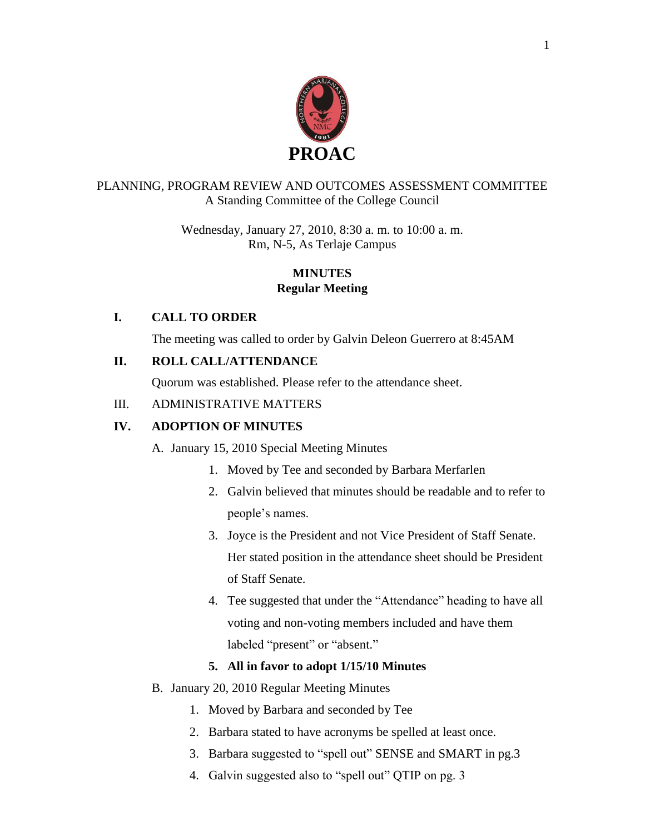

#### PLANNING, PROGRAM REVIEW AND OUTCOMES ASSESSMENT COMMITTEE A Standing Committee of the College Council

Wednesday, January 27, 2010, 8:30 a. m. to 10:00 a. m. Rm, N-5, As Terlaje Campus

# **MINUTES Regular Meeting**

# **I. CALL TO ORDER**

The meeting was called to order by Galvin Deleon Guerrero at 8:45AM

# **II. ROLL CALL/ATTENDANCE**

Quorum was established. Please refer to the attendance sheet.

# III. ADMINISTRATIVE MATTERS

# **IV. ADOPTION OF MINUTES**

A. January 15, 2010 Special Meeting Minutes

- 1. Moved by Tee and seconded by Barbara Merfarlen
- 2. Galvin believed that minutes should be readable and to refer to people's names.
- 3. Joyce is the President and not Vice President of Staff Senate. Her stated position in the attendance sheet should be President of Staff Senate.
- 4. Tee suggested that under the "Attendance" heading to have all voting and non-voting members included and have them labeled "present" or "absent."

# **5. All in favor to adopt 1/15/10 Minutes**

- B. January 20, 2010 Regular Meeting Minutes
	- 1. Moved by Barbara and seconded by Tee
	- 2. Barbara stated to have acronyms be spelled at least once.
	- 3. Barbara suggested to "spell out" SENSE and SMART in pg.3
	- 4. Galvin suggested also to "spell out" QTIP on pg. 3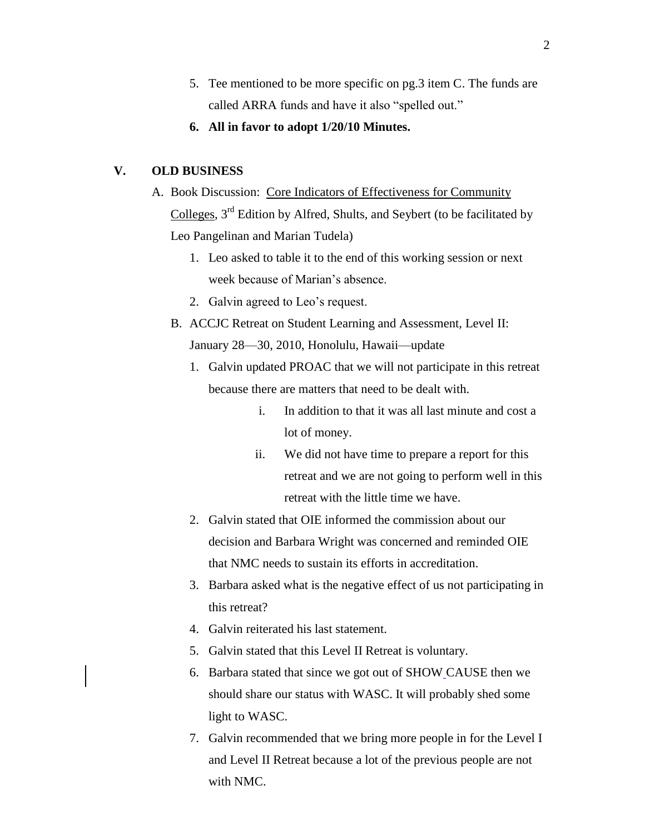- 5. Tee mentioned to be more specific on pg.3 item C. The funds are called ARRA funds and have it also "spelled out."
- **6. All in favor to adopt 1/20/10 Minutes.**

#### **V. OLD BUSINESS**

- A. Book Discussion: Core Indicators of Effectiveness for Community Colleges, 3rd Edition by Alfred, Shults, and Seybert (to be facilitated by Leo Pangelinan and Marian Tudela)
	- 1. Leo asked to table it to the end of this working session or next week because of Marian's absence.
	- 2. Galvin agreed to Leo's request.
	- B. ACCJC Retreat on Student Learning and Assessment, Level II: January 28—30, 2010, Honolulu, Hawaii—update
		- 1. Galvin updated PROAC that we will not participate in this retreat because there are matters that need to be dealt with.
			- i. In addition to that it was all last minute and cost a lot of money.
			- ii. We did not have time to prepare a report for this retreat and we are not going to perform well in this retreat with the little time we have.
		- 2. Galvin stated that OIE informed the commission about our decision and Barbara Wright was concerned and reminded OIE that NMC needs to sustain its efforts in accreditation.
		- 3. Barbara asked what is the negative effect of us not participating in this retreat?
		- 4. Galvin reiterated his last statement.
		- 5. Galvin stated that this Level II Retreat is voluntary.
		- 6. Barbara stated that since we got out of SHOW CAUSE then we should share our status with WASC. It will probably shed some light to WASC.
		- 7. Galvin recommended that we bring more people in for the Level I and Level II Retreat because a lot of the previous people are not with NMC.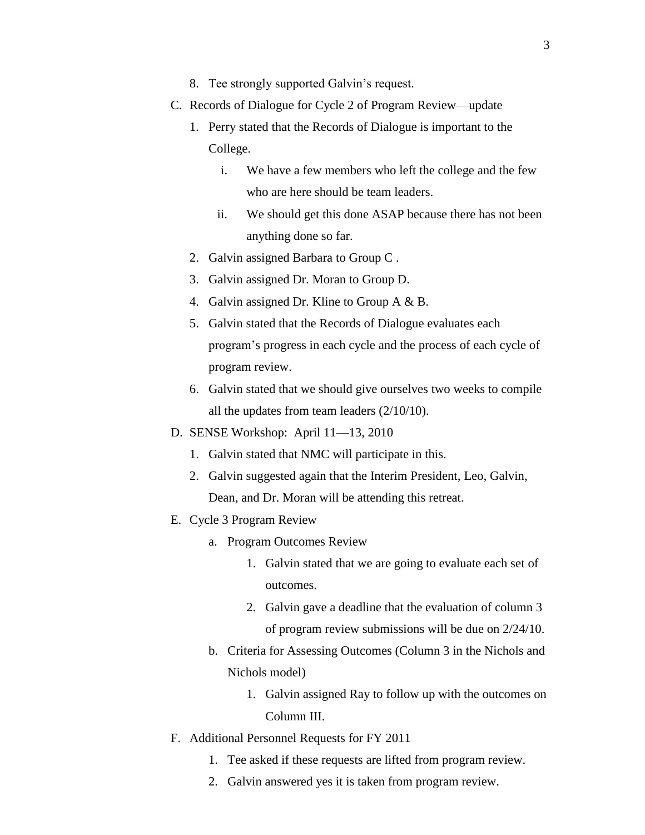- 8. Tee strongly supported Galvin's request.
- C. Records of Dialogue for Cycle 2 of Program Review—update
	- 1. Perry stated that the Records of Dialogue is important to the College.
		- i. We have a few members who left the college and the few who are here should be team leaders.
		- ii. We should get this done ASAP because there has not been anything done so far.
	- 2. Galvin assigned Barbara to Group C .
	- 3. Galvin assigned Dr. Moran to Group D.
	- 4. Galvin assigned Dr. Kline to Group A & B.
	- 5. Galvin stated that the Records of Dialogue evaluates each program's progress in each cycle and the process of each cycle of program review.
	- 6. Galvin stated that we should give ourselves two weeks to compile all the updates from team leaders (2/10/10).
- D. SENSE Workshop: April 11—13, 2010
	- 1. Galvin stated that NMC will participate in this.
	- 2. Galvin suggested again that the Interim President, Leo, Galvin, Dean, and Dr. Moran will be attending this retreat.
- E. Cycle 3 Program Review
	- a. Program Outcomes Review
		- 1. Galvin stated that we are going to evaluate each set of outcomes.
		- 2. Galvin gave a deadline that the evaluation of column 3 of program review submissions will be due on 2/24/10.
	- b. Criteria for Assessing Outcomes (Column 3 in the Nichols and Nichols model)
		- 1. Galvin assigned Ray to follow up with the outcomes on Column III.
- F. Additional Personnel Requests for FY 2011
	- 1. Tee asked if these requests are lifted from program review.
	- 2. Galvin answered yes it is taken from program review.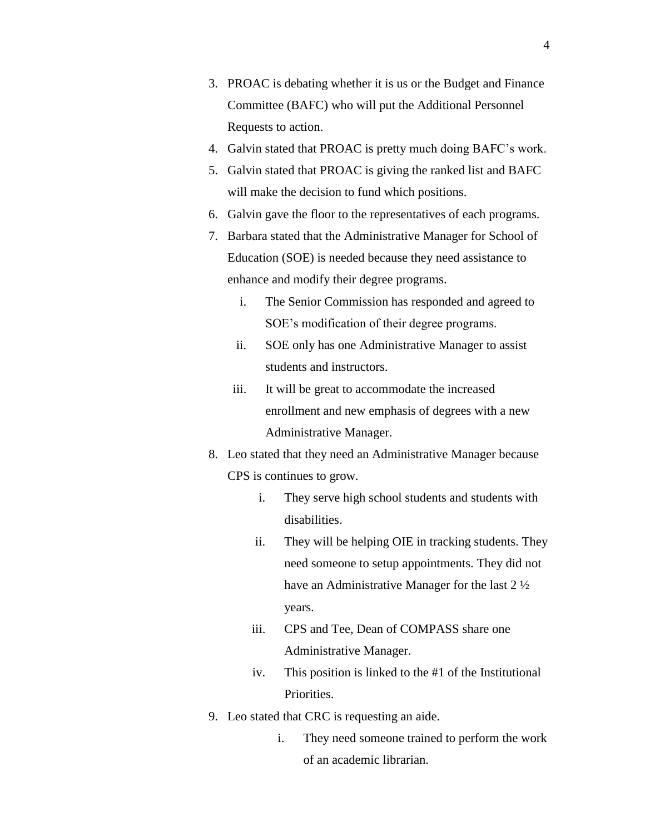- 3. PROAC is debating whether it is us or the Budget and Finance Committee (BAFC) who will put the Additional Personnel Requests to action.
- 4. Galvin stated that PROAC is pretty much doing BAFC's work.
- 5. Galvin stated that PROAC is giving the ranked list and BAFC will make the decision to fund which positions.
- 6. Galvin gave the floor to the representatives of each programs.
- 7. Barbara stated that the Administrative Manager for School of Education (SOE) is needed because they need assistance to enhance and modify their degree programs.
	- i. The Senior Commission has responded and agreed to SOE's modification of their degree programs.
	- ii. SOE only has one Administrative Manager to assist students and instructors.
	- iii. It will be great to accommodate the increased enrollment and new emphasis of degrees with a new Administrative Manager.
- 8. Leo stated that they need an Administrative Manager because CPS is continues to grow.
	- i. They serve high school students and students with disabilities.
	- ii. They will be helping OIE in tracking students. They need someone to setup appointments. They did not have an Administrative Manager for the last 2 ½ years.
	- iii. CPS and Tee, Dean of COMPASS share one Administrative Manager.
	- iv. This position is linked to the #1 of the Institutional Priorities.
- 9. Leo stated that CRC is requesting an aide.
	- i. They need someone trained to perform the work of an academic librarian.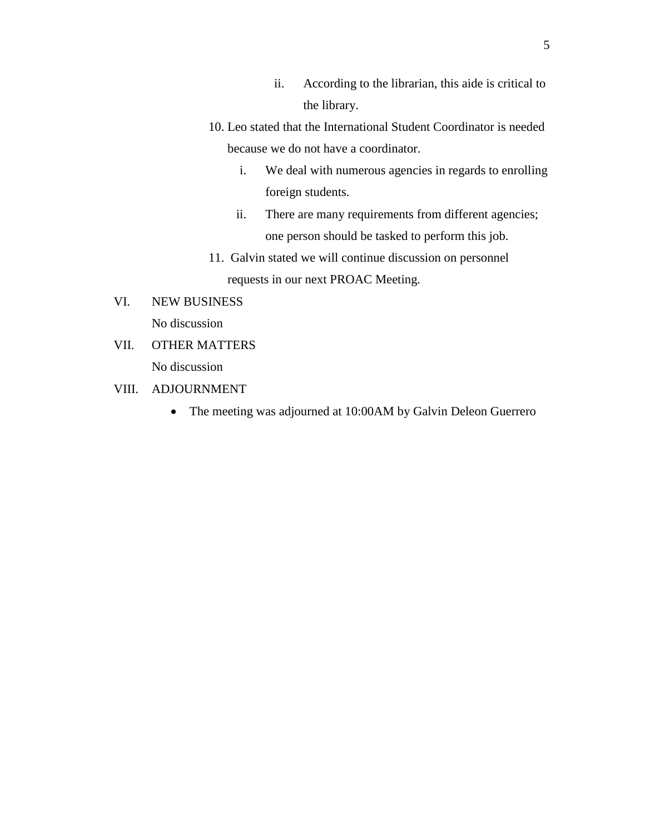- ii. According to the librarian, this aide is critical to the library.
- 10. Leo stated that the International Student Coordinator is needed because we do not have a coordinator.
	- i. We deal with numerous agencies in regards to enrolling foreign students.
	- ii. There are many requirements from different agencies; one person should be tasked to perform this job.
- 11. Galvin stated we will continue discussion on personnel requests in our next PROAC Meeting.
- VI. NEW BUSINESS No discussion
- VII. OTHER MATTERS No discussion
- VIII. ADJOURNMENT
	- The meeting was adjourned at 10:00AM by Galvin Deleon Guerrero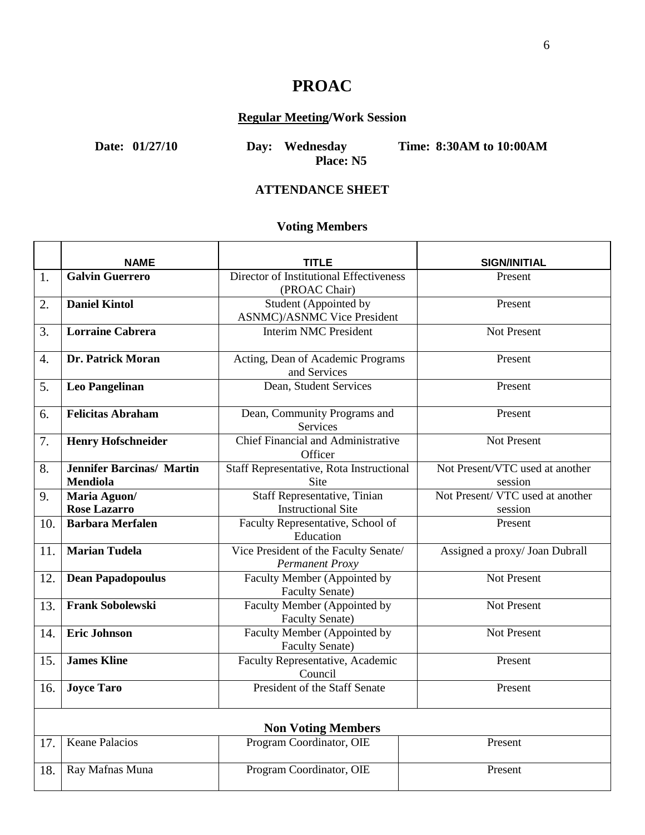# **PROAC**

# **Regular Meeting/Work Session**

**Date: 01/27/10 Day: Wednesday Time: 8:30AM to 10:00AM**

**Place: N5**

**ATTENDANCE SHEET**

# **Voting Members**

|     | <b>NAME</b>                      | <b>TITLE</b>                                                    | <b>SIGN/INITIAL</b>             |  |  |
|-----|----------------------------------|-----------------------------------------------------------------|---------------------------------|--|--|
| 1.  | <b>Galvin Guerrero</b>           | Director of Institutional Effectiveness<br>(PROAC Chair)        | Present                         |  |  |
| 2.  | <b>Daniel Kintol</b>             | Student (Appointed by<br><b>ASNMC</b> )/ASNMC Vice President    | Present                         |  |  |
| 3.  | <b>Lorraine Cabrera</b>          | <b>Interim NMC President</b>                                    | Not Present                     |  |  |
| 4.  | Dr. Patrick Moran                | Acting, Dean of Academic Programs<br>and Services               | Present                         |  |  |
| 5.  | <b>Leo Pangelinan</b>            | Dean, Student Services                                          | Present                         |  |  |
| 6.  | <b>Felicitas Abraham</b>         | Dean, Community Programs and<br>Services                        | Present                         |  |  |
| 7.  | <b>Henry Hofschneider</b>        | <b>Chief Financial and Administrative</b><br>Officer            | <b>Not Present</b>              |  |  |
| 8.  | <b>Jennifer Barcinas/ Martin</b> | Staff Representative, Rota Instructional                        | Not Present/VTC used at another |  |  |
|     | <b>Mendiola</b>                  | Site                                                            | session                         |  |  |
| 9.  | Maria Aguon/                     | <b>Staff Representative, Tinian</b>                             | Not Present/VTC used at another |  |  |
|     | <b>Rose Lazarro</b>              | <b>Instructional Site</b>                                       | session                         |  |  |
| 10. | <b>Barbara Merfalen</b>          | Faculty Representative, School of<br>Education                  | Present                         |  |  |
| 11. | <b>Marian Tudela</b>             | Vice President of the Faculty Senate/<br><b>Permanent Proxy</b> | Assigned a proxy/ Joan Dubrall  |  |  |
| 12. | <b>Dean Papadopoulus</b>         | Faculty Member (Appointed by<br><b>Faculty Senate)</b>          | Not Present                     |  |  |
| 13. | <b>Frank Sobolewski</b>          | Faculty Member (Appointed by<br><b>Faculty Senate)</b>          | Not Present                     |  |  |
| 14. | <b>Eric Johnson</b>              | Faculty Member (Appointed by<br><b>Faculty Senate)</b>          | Not Present                     |  |  |
| 15. | <b>James Kline</b>               | Faculty Representative, Academic<br>Council                     | Present                         |  |  |
| 16. | <b>Joyce Taro</b>                | President of the Staff Senate                                   | Present                         |  |  |
|     | <b>Non Voting Members</b>        |                                                                 |                                 |  |  |
| 17. | <b>Keane Palacios</b>            | Program Coordinator, OIE                                        | Present                         |  |  |
| 18. | Ray Mafnas Muna                  | Program Coordinator, OIE                                        | Present                         |  |  |